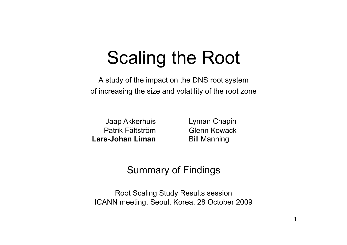### Scaling the Root

A study of the impact on the DNS root system of increasing the size and volatility of the root zone

Jaap Akkerhuis Patrik Fältström **Lars-Johan Liman**

Lyman Chapin Glenn Kowack Bill Manning

#### Summary of Findings

Root Scaling Study Results session ICANN meeting, Seoul, Korea, 28 October 2009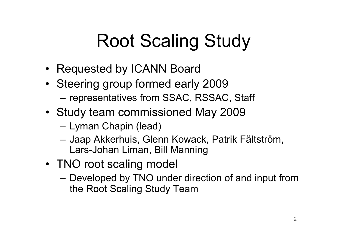### Root Scaling Study

- Requested by ICANN Board
- Steering group formed early 2009
	- representatives from SSAC, RSSAC, Staff
- Study team commissioned May 2009
	- Lyman Chapin (lead)
	- Jaap Akkerhuis, Glenn Kowack, Patrik Fältström, Lars-Johan Liman, Bill Manning
- TNO root scaling model
	- Developed by TNO under direction of and input from the Root Scaling Study Team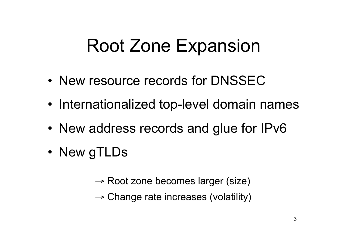### Root Zone Expansion

- New resource records for DNSSEC
- Internationalized top-level domain names
- New address records and glue for IPv6
- New gTLDs
	- $\rightarrow$  Root zone becomes larger (size)
	- $\rightarrow$  Change rate increases (volatility)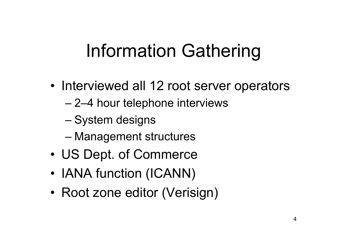### Information Gathering

- Interviewed all 12 root server operators
	- 2–4 hour telephone interviews
	- System designs
	- Management structures
- US Dept. of Commerce
- IANA function (ICANN)
- Root zone editor (Verisign)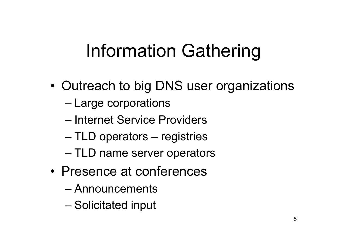### Information Gathering

- Outreach to big DNS user organizations
	- Large corporations
	- Internet Service Providers
	- TLD operators registries
	- TLD name server operators
- Presence at conferences
	- Announcements
	- Solicitated input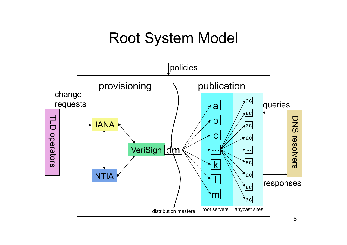### Root System Model

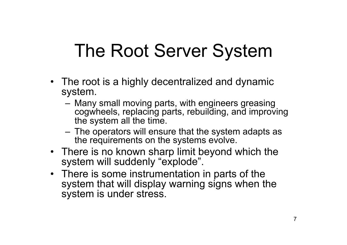### The Root Server System

- The root is a highly decentralized and dynamic system.
	- Many small moving parts, with engineers greasing cogwheels, replacing parts, rebuilding, and improving the system all the time.
	- The operators will ensure that the system adapts as the requirements on the systems evolve.
- There is no known sharp limit beyond which the system will suddenly "explode".
- There is some instrumentation in parts of the system that will display warning signs when the system is under stress.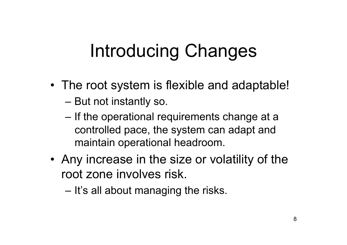### Introducing Changes

- The root system is flexible and adaptable!
	- But not instantly so.
	- If the operational requirements change at a controlled pace, the system can adapt and maintain operational headroom.
- Any increase in the size or volatility of the root zone involves risk.
	- It's all about managing the risks.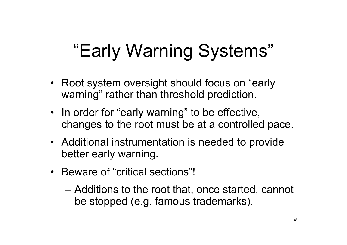# "Early Warning Systems"

- Root system oversight should focus on "early warning" rather than threshold prediction.
- In order for "early warning" to be effective, changes to the root must be at a controlled pace.
- Additional instrumentation is needed to provide better early warning.
- Beware of "critical sections"!
	- Additions to the root that, once started, cannot be stopped (e.g. famous trademarks).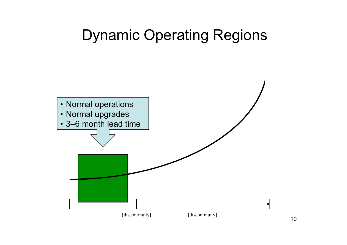### Dynamic Operating Regions

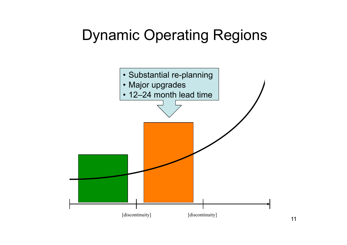### Dynamic Operating Regions

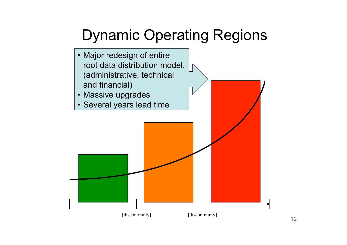### Dynamic Operating Regions

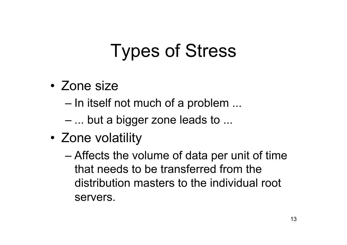### Types of Stress

- Zone size
	- In itself not much of a problem ...
	- ... but a bigger zone leads to ...
- Zone volatility
	- Affects the volume of data per unit of time that needs to be transferred from the distribution masters to the individual root servers.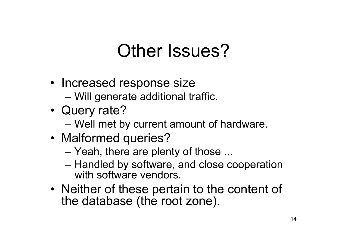### Other Issues?

- Increased response size
	- Will generate additional traffic.
- Query rate?
	- Well met by current amount of hardware.
- Malformed queries?
	- Yeah, there are plenty of those ...
	- Handled by software, and close cooperation with software vendors.
- Neither of these pertain to the content of the database (the root zone).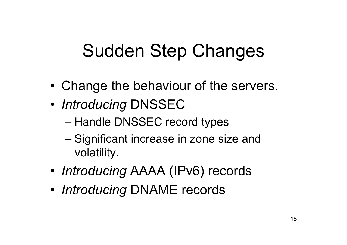### Sudden Step Changes

- Change the behaviour of the servers.
- *Introducing* DNSSEC
	- Handle DNSSEC record types
	- Significant increase in zone size and volatility.
- *Introducing* AAAA (IPv6) records
- *Introducing* DNAME records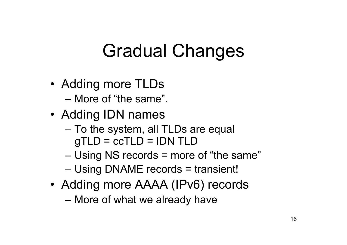### Gradual Changes

- Adding more TLDs
	- More of "the same".
- Adding IDN names
	- To the system, all TLDs are equal  $gTLD = ccTLD = IDN TLD$
	- Using NS records = more of "the same"
	- Using DNAME records = transient!
- Adding more AAAA (IPv6) records
	- More of what we already have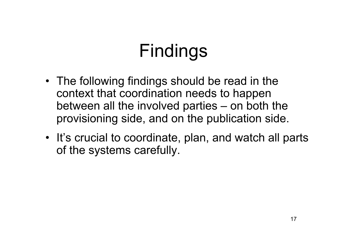# Findings

- The following findings should be read in the context that coordination needs to happen between all the involved parties – on both the provisioning side, and on the publication side.
- It's crucial to coordinate, plan, and watch all parts of the systems carefully.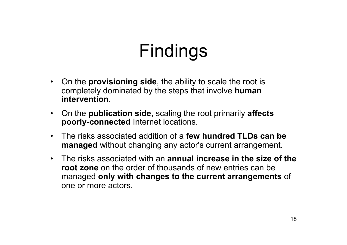# Findings

- On the **provisioning side**, the ability to scale the root is completely dominated by the steps that involve **human intervention**.
- On the **publication side**, scaling the root primarily **affects poorly-connected** Internet locations.
- The risks associated addition of a **few hundred TLDs can be managed** without changing any actor's current arrangement.
- The risks associated with an **annual increase in the size of the root zone** on the order of thousands of new entries can be managed **only with changes to the current arrangements** of one or more actors.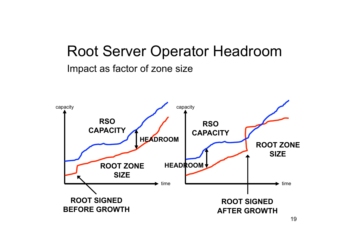#### Root Server Operator Headroom

#### Impact as factor of zone size